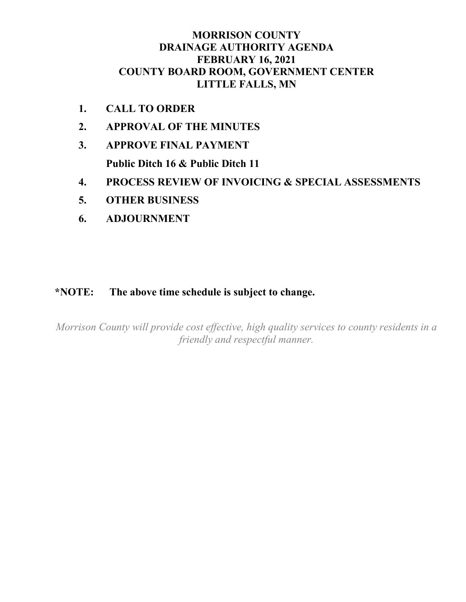# **MORRISON COUNTY DRAINAGE AUTHORITY AGENDA FEBRUARY 16, 2021 COUNTY BOARD ROOM, GOVERNMENT CENTER LITTLE FALLS, MN**

- **1. CALL TO ORDER**
- **2. APPROVAL OF THE MINUTES**
- **3. APPROVE FINAL PAYMENT Public Ditch 16 & Public Ditch 11**
- **4. PROCESS REVIEW OF INVOICING & SPECIAL ASSESSMENTS**
- **5. OTHER BUSINESS**
- **6. ADJOURNMENT**

## **\*NOTE: The above time schedule is subject to change.**

*Morrison County will provide cost effective, high quality services to county residents in a friendly and respectful manner.*